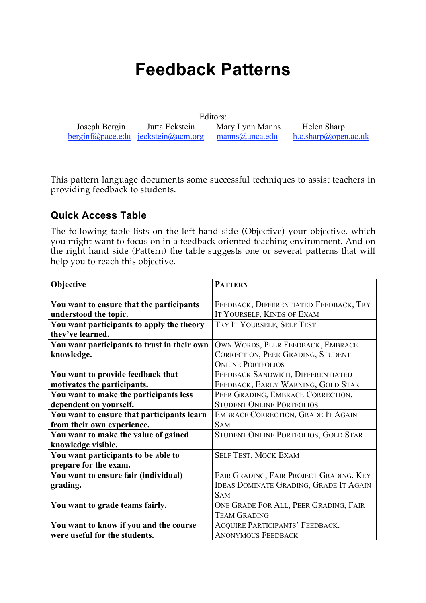# **Feedback Patterns**

Editors: Joseph Bergin Jutta Eckstein Mary Lynn Manns Helen Sharp berginf@pace.edu jeckstein@acm.org manns@unca.edu h.c.sharp@open.ac.uk

This pattern language documents some successful techniques to assist teachers in providing feedback to students.

## **Quick Access Table**

The following table lists on the left hand side (Objective) your objective, which you might want to focus on in a feedback oriented teaching environment. And on the right hand side (Pattern) the table suggests one or several patterns that will help you to reach this objective.

| Objective                                   | <b>PATTERN</b>                                |
|---------------------------------------------|-----------------------------------------------|
|                                             |                                               |
| You want to ensure that the participants    | FEEDBACK, DIFFERENTIATED FEEDBACK, TRY        |
| understood the topic.                       | IT YOURSELF, KINDS OF EXAM                    |
| You want participants to apply the theory   | TRY IT YOURSELF, SELF TEST                    |
| they've learned.                            |                                               |
| You want participants to trust in their own | OWN WORDS, PEER FEEDBACK, EMBRACE             |
| knowledge.                                  | CORRECTION, PEER GRADING, STUDENT             |
|                                             | <b>ONLINE PORTFOLIOS</b>                      |
| You want to provide feedback that           | FEEDBACK SANDWICH, DIFFERENTIATED             |
| motivates the participants.                 | FEEDBACK, EARLY WARNING, GOLD STAR            |
| You want to make the participants less      | PEER GRADING, EMBRACE CORRECTION,             |
| dependent on yourself.                      | <b>STUDENT ONLINE PORTFOLIOS</b>              |
| You want to ensure that participants learn  | EMBRACE CORRECTION, GRADE IT AGAIN            |
| from their own experience.                  | <b>SAM</b>                                    |
| You want to make the value of gained        | STUDENT ONLINE PORTFOLIOS, GOLD STAR          |
| knowledge visible.                          |                                               |
| You want participants to be able to         | <b>SELF TEST, MOCK EXAM</b>                   |
| prepare for the exam.                       |                                               |
| You want to ensure fair (individual)        | FAIR GRADING, FAIR PROJECT GRADING, KEY       |
| grading.                                    | <b>IDEAS DOMINATE GRADING, GRADE IT AGAIN</b> |
|                                             | <b>SAM</b>                                    |
| You want to grade teams fairly.             | ONE GRADE FOR ALL, PEER GRADING, FAIR         |
|                                             | <b>TEAM GRADING</b>                           |
| You want to know if you and the course      | <b>ACQUIRE PARTICIPANTS' FEEDBACK,</b>        |
| were useful for the students.               | <b>ANONYMOUS FEEDBACK</b>                     |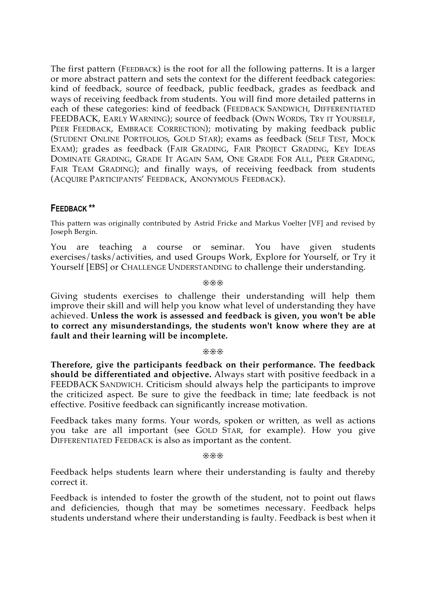The first pattern (FEEDBACK) is the root for all the following patterns. It is a larger or more abstract pattern and sets the context for the different feedback categories: kind of feedback, source of feedback, public feedback, grades as feedback and ways of receiving feedback from students. You will find more detailed patterns in each of these categories: kind of feedback (FEEDBACK SANDWICH, DIFFERENTIATED FEEDBACK, EARLY WARNING); source of feedback (OWN WORDS, TRY IT YOURSELF, PEER FEEDBACK, EMBRACE CORRECTION); motivating by making feedback public (STUDENT ONLINE PORTFOLIOS, GOLD STAR); exams as feedback (SELF TEST, MOCK EXAM); grades as feedback (FAIR GRADING, FAIR PROJECT GRADING, KEY IDEAS DOMINATE GRADING, GRADE IT AGAIN SAM, ONE GRADE FOR ALL, PEER GRADING, FAIR TEAM GRADING); and finally ways, of receiving feedback from students (ACQUIRE PARTICIPANTS' FEEDBACK, ANONYMOUS FEEDBACK).

## **FEEDBACK \*\***

This pattern was originally contributed by Astrid Fricke and Markus Voelter [VF] and revised by Joseph Bergin.

You are teaching a course or seminar. You have given students exercises/tasks/activities, and used Groups Work, Explore for Yourself, or Try it Yourself [EBS] or CHALLENGE UNDERSTANDING to challenge their understanding.

❊❊❊

Giving students exercises to challenge their understanding will help them improve their skill and will help you know what level of understanding they have achieved. **Unless the work is assessed and feedback is given, you won't be able to correct any misunderstandings, the students won't know where they are at fault and their learning will be incomplete.**

#### ❊❊❊

**Therefore, give the participants feedback on their performance. The feedback should be differentiated and objective.** Always start with positive feedback in a FEEDBACK SANDWICH. Criticism should always help the participants to improve the criticized aspect. Be sure to give the feedback in time; late feedback is not effective. Positive feedback can significantly increase motivation.

Feedback takes many forms. Your words, spoken or written, as well as actions you take are all important (see GOLD STAR, for example). How you give DIFFERENTIATED FEEDBACK is also as important as the content.

❊❊❊

Feedback helps students learn where their understanding is faulty and thereby correct it.

Feedback is intended to foster the growth of the student, not to point out flaws and deficiencies, though that may be sometimes necessary. Feedback helps students understand where their understanding is faulty. Feedback is best when it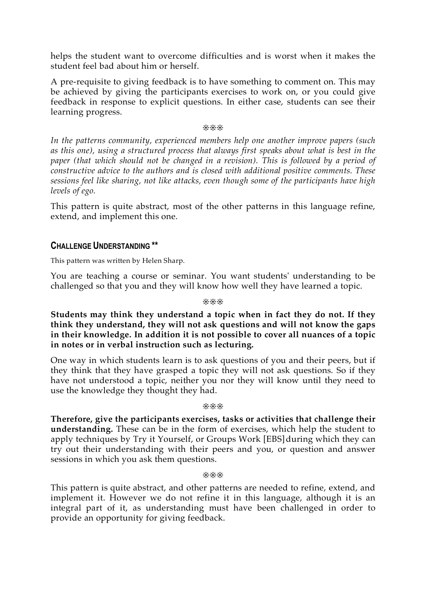helps the student want to overcome difficulties and is worst when it makes the student feel bad about him or herself.

A pre-requisite to giving feedback is to have something to comment on. This may be achieved by giving the participants exercises to work on, or you could give feedback in response to explicit questions. In either case, students can see their learning progress.

#### ❊❊❊

*In the patterns community, experienced members help one another improve papers (such as this one), using a structured process that always first speaks about what is best in the paper (that which should not be changed in a revision). This is followed by a period of constructive advice to the authors and is closed with additional positive comments. These sessions feel like sharing, not like attacks, even though some of the participants have high levels of ego.*

This pattern is quite abstract, most of the other patterns in this language refine, extend, and implement this one.

#### **CHALLENGE UNDERSTANDING \*\***

This pattern was written by Helen Sharp.

You are teaching a course or seminar. You want students' understanding to be challenged so that you and they will know how well they have learned a topic.

❊❊❊

**Students may think they understand a topic when in fact they do not. If they think they understand, they will not ask questions and will not know the gaps in their knowledge. In addition it is not possible to cover all nuances of a topic in notes or in verbal instruction such as lecturing.**

One way in which students learn is to ask questions of you and their peers, but if they think that they have grasped a topic they will not ask questions. So if they have not understood a topic, neither you nor they will know until they need to use the knowledge they thought they had.

#### ❊❊❊

**Therefore, give the participants exercises, tasks or activities that challenge their understanding.** These can be in the form of exercises, which help the student to apply techniques by Try it Yourself, or Groups Work [EBS]during which they can try out their understanding with their peers and you, or question and answer sessions in which you ask them questions.

❊❊❊

This pattern is quite abstract, and other patterns are needed to refine, extend, and implement it. However we do not refine it in this language, although it is an integral part of it, as understanding must have been challenged in order to provide an opportunity for giving feedback.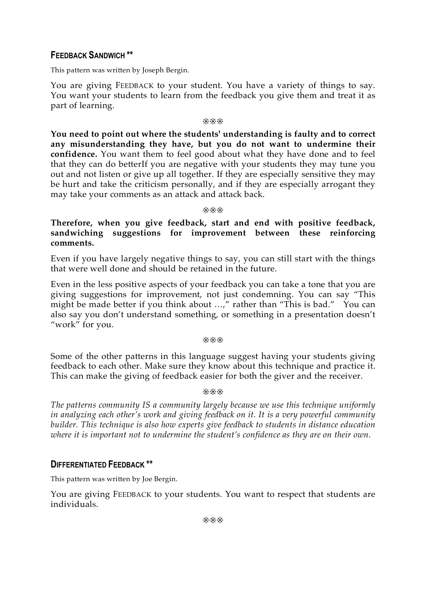## **FEEDBACK SANDWICH \*\***

This pattern was written by Joseph Bergin.

You are giving FEEDBACK to your student. You have a variety of things to say. You want your students to learn from the feedback you give them and treat it as part of learning.

#### ❊❊❊

**You need to point out where the students' understanding is faulty and to correct any misunderstanding they have, but you do not want to undermine their confidence.** You want them to feel good about what they have done and to feel that they can do betterIf you are negative with your students they may tune you out and not listen or give up all together. If they are especially sensitive they may be hurt and take the criticism personally, and if they are especially arrogant they may take your comments as an attack and attack back.

#### ❊❊❊

## **Therefore, when you give feedback, start and end with positive feedback, sandwiching suggestions for improvement between these reinforcing comments.**

Even if you have largely negative things to say, you can still start with the things that were well done and should be retained in the future.

Even in the less positive aspects of your feedback you can take a tone that you are giving suggestions for improvement, not just condemning. You can say "This might be made better if you think about ...," rather than "This is bad." You can also say you don't understand something, or something in a presentation doesn't "work" for you.

#### ❊❊❊

Some of the other patterns in this language suggest having your students giving feedback to each other. Make sure they know about this technique and practice it. This can make the giving of feedback easier for both the giver and the receiver.

#### ❊❊❊

*The patterns community IS a community largely because we use this technique uniformly in analyzing each other's work and giving feedback on it. It is a very powerful community builder. This technique is also how experts give feedback to students in distance education where it is important not to undermine the student's confidence as they are on their own.*

## **DIFFERENTIATED FEEDBACK \*\***

This pattern was written by Joe Bergin.

You are giving FEEDBACK to your students. You want to respect that students are individuals.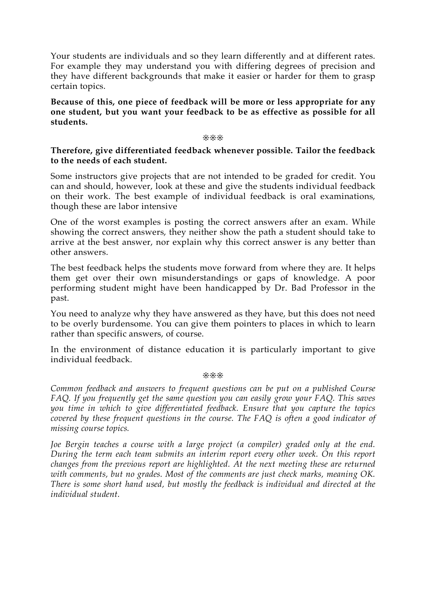Your students are individuals and so they learn differently and at different rates. For example they may understand you with differing degrees of precision and they have different backgrounds that make it easier or harder for them to grasp certain topics.

**Because of this, one piece of feedback will be more or less appropriate for any one student, but you want your feedback to be as effective as possible for all students.**

#### ❊❊❊

#### **Therefore, give differentiated feedback whenever possible. Tailor the feedback to the needs of each student.**

Some instructors give projects that are not intended to be graded for credit. You can and should, however, look at these and give the students individual feedback on their work. The best example of individual feedback is oral examinations, though these are labor intensive

One of the worst examples is posting the correct answers after an exam. While showing the correct answers, they neither show the path a student should take to arrive at the best answer, nor explain why this correct answer is any better than other answers.

The best feedback helps the students move forward from where they are. It helps them get over their own misunderstandings or gaps of knowledge. A poor performing student might have been handicapped by Dr. Bad Professor in the past.

You need to analyze why they have answered as they have, but this does not need to be overly burdensome. You can give them pointers to places in which to learn rather than specific answers, of course.

In the environment of distance education it is particularly important to give individual feedback.

#### ❊❊❊

*Common feedback and answers to frequent questions can be put on a published Course FAQ. If you frequently get the same question you can easily grow your FAQ. This saves you time in which to give differentiated feedback. Ensure that you capture the topics covered by these frequent questions in the course. The FAQ is often a good indicator of missing course topics.*

*Joe Bergin teaches a course with a large project (a compiler) graded only at the end. During the term each team submits an interim report every other week. On this report changes from the previous report are highlighted. At the next meeting these are returned with comments, but no grades. Most of the comments are just check marks, meaning OK. There is some short hand used, but mostly the feedback is individual and directed at the individual student.*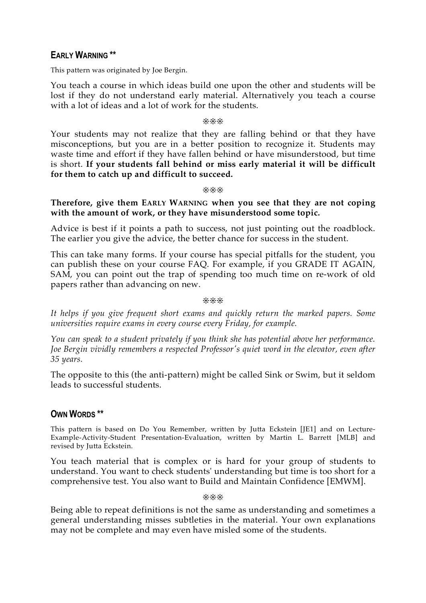## **EARLY WARNING \*\***

This pattern was originated by Joe Bergin.

You teach a course in which ideas build one upon the other and students will be lost if they do not understand early material. Alternatively you teach a course with a lot of ideas and a lot of work for the students.

#### ❊❊❊

Your students may not realize that they are falling behind or that they have misconceptions, but you are in a better position to recognize it. Students may waste time and effort if they have fallen behind or have misunderstood, but time is short. **If your students fall behind or miss early material it will be difficult for them to catch up and difficult to succeed.**

❊❊❊

**Therefore, give them EARLY WARNING when you see that they are not coping with the amount of work, or they have misunderstood some topic.**

Advice is best if it points a path to success, not just pointing out the roadblock. The earlier you give the advice, the better chance for success in the student.

This can take many forms. If your course has special pitfalls for the student, you can publish these on your course FAQ. For example, if you GRADE IT AGAIN, SAM, you can point out the trap of spending too much time on re-work of old papers rather than advancing on new.

❊❊❊

*It helps if you give frequent short exams and quickly return the marked papers. Some universities require exams in every course every Friday, for example.*

*You can speak to a student privately if you think she has potential above her performance. Joe Bergin vividly remembers a respected Professor's quiet word in the elevator, even after 35 years.*

The opposite to this (the anti-pattern) might be called Sink or Swim, but it seldom leads to successful students.

## **OWN WORDS \*\***

This pattern is based on Do You Remember, written by Jutta Eckstein [JE1] and on Lecture-Example-Activity-Student Presentation-Evaluation, written by Martin L. Barrett [MLB] and revised by Jutta Eckstein.

You teach material that is complex or is hard for your group of students to understand. You want to check students' understanding but time is too short for a comprehensive test. You also want to Build and Maintain Confidence [EMWM].

❊❊❊

Being able to repeat definitions is not the same as understanding and sometimes a general understanding misses subtleties in the material. Your own explanations may not be complete and may even have misled some of the students.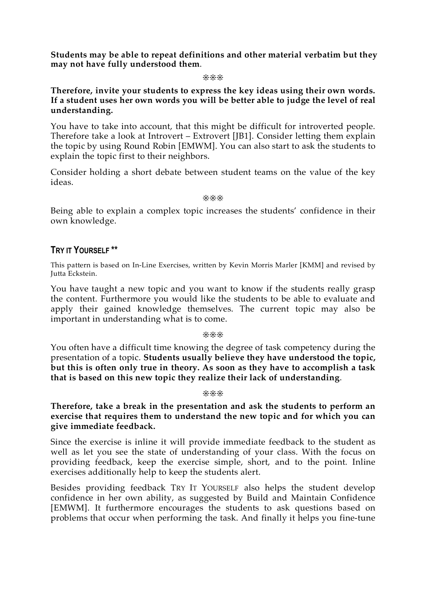**Students may be able to repeat definitions and other material verbatim but they may not have fully understood them**.

❊❊❊

**Therefore, invite your students to express the key ideas using their own words. If a student uses her own words you will be better able to judge the level of real understanding.**

You have to take into account, that this might be difficult for introverted people. Therefore take a look at Introvert – Extrovert [JB1]. Consider letting them explain the topic by using Round Robin [EMWM]. You can also start to ask the students to explain the topic first to their neighbors.

Consider holding a short debate between student teams on the value of the key ideas.

❊❊❊

Being able to explain a complex topic increases the students' confidence in their own knowledge.

## **TRY IT YOURSELF \*\***

This pattern is based on In-Line Exercises, written by Kevin Morris Marler [KMM] and revised by Jutta Eckstein.

You have taught a new topic and you want to know if the students really grasp the content. Furthermore you would like the students to be able to evaluate and apply their gained knowledge themselves. The current topic may also be important in understanding what is to come.

❊❊❊

You often have a difficult time knowing the degree of task competency during the presentation of a topic. **Students usually believe they have understood the topic, but this is often only true in theory. As soon as they have to accomplish a task that is based on this new topic they realize their lack of understanding**.

❊❊❊

**Therefore, take a break in the presentation and ask the students to perform an exercise that requires them to understand the new topic and for which you can give immediate feedback.**

Since the exercise is inline it will provide immediate feedback to the student as well as let you see the state of understanding of your class. With the focus on providing feedback, keep the exercise simple, short, and to the point. Inline exercises additionally help to keep the students alert.

Besides providing feedback TRY IT YOURSELF also helps the student develop confidence in her own ability, as suggested by Build and Maintain Confidence [EMWM]. It furthermore encourages the students to ask questions based on problems that occur when performing the task. And finally it helps you fine-tune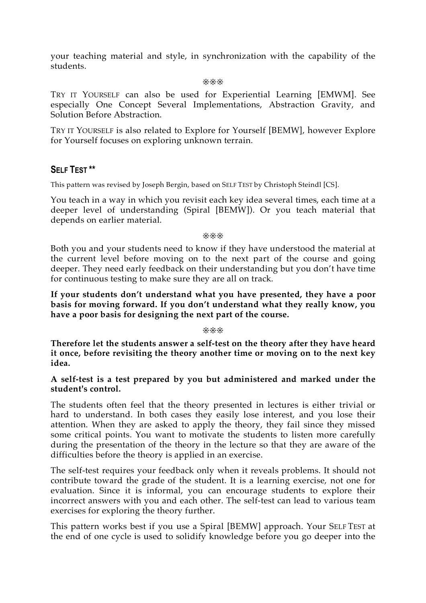your teaching material and style, in synchronization with the capability of the students.

#### ❊❊❊

TRY IT YOURSELF can also be used for Experiential Learning [EMWM]. See especially One Concept Several Implementations, Abstraction Gravity, and Solution Before Abstraction.

TRY IT YOURSELF is also related to Explore for Yourself [BEMW], however Explore for Yourself focuses on exploring unknown terrain.

## **SELF TEST \*\***

This pattern was revised by Joseph Bergin, based on SELF TEST by Christoph Steindl [CS].

You teach in a way in which you revisit each key idea several times, each time at a deeper level of understanding (Spiral [BEMW]). Or you teach material that depends on earlier material.

#### ❊❊❊

Both you and your students need to know if they have understood the material at the current level before moving on to the next part of the course and going deeper. They need early feedback on their understanding but you don't have time for continuous testing to make sure they are all on track.

**If your students don't understand what you have presented, they have a poor basis for moving forward. If you don't understand what they really know, you have a poor basis for designing the next part of the course.**

❊❊❊

**Therefore let the students answer a self-test on the theory after they have heard it once, before revisiting the theory another time or moving on to the next key idea.**

## **A self-test is a test prepared by you but administered and marked under the student's control.**

The students often feel that the theory presented in lectures is either trivial or hard to understand. In both cases they easily lose interest, and you lose their attention. When they are asked to apply the theory, they fail since they missed some critical points. You want to motivate the students to listen more carefully during the presentation of the theory in the lecture so that they are aware of the difficulties before the theory is applied in an exercise.

The self-test requires your feedback only when it reveals problems. It should not contribute toward the grade of the student. It is a learning exercise, not one for evaluation. Since it is informal, you can encourage students to explore their incorrect answers with you and each other. The self-test can lead to various team exercises for exploring the theory further.

This pattern works best if you use a Spiral [BEMW] approach. Your SELF TEST at the end of one cycle is used to solidify knowledge before you go deeper into the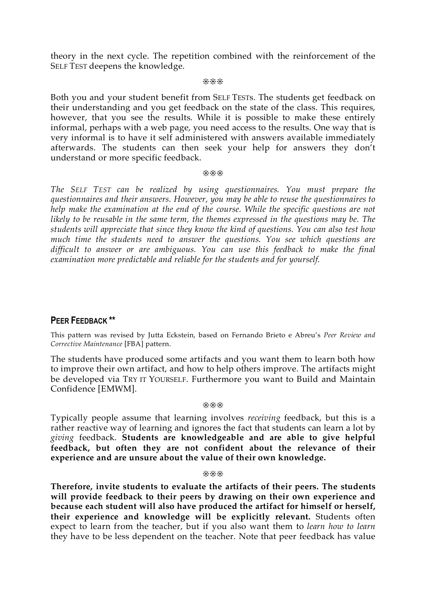theory in the next cycle. The repetition combined with the reinforcement of the SELF TEST deepens the knowledge.

❊❊❊

Both you and your student benefit from SELF TESTs. The students get feedback on their understanding and you get feedback on the state of the class. This requires, however, that you see the results. While it is possible to make these entirely informal, perhaps with a web page, you need access to the results. One way that is very informal is to have it self administered with answers available immediately afterwards. The students can then seek your help for answers they don't understand or more specific feedback.

#### ❊❊❊

*The SELF TEST can be realized by using questionnaires. You must prepare the questionnaires and their answers. However, you may be able to reuse the questionnaires to help make the examination at the end of the course. While the specific questions are not likely to be reusable in the same term, the themes expressed in the questions may be. The students will appreciate that since they know the kind of questions. You can also test how much time the students need to answer the questions. You see which questions are difficult to answer or are ambiguous. You can use this feedback to make the final examination more predictable and reliable for the students and for yourself.*

## **PEER FEEDBACK \*\***

This pattern was revised by Jutta Eckstein, based on Fernando Brieto e Abreu's *Peer Review and Corrective Maintenance* [FBA] pattern.

The students have produced some artifacts and you want them to learn both how to improve their own artifact, and how to help others improve. The artifacts might be developed via TRY IT YOURSELF. Furthermore you want to Build and Maintain Confidence [EMWM].

#### ❊❊❊

Typically people assume that learning involves *receiving* feedback, but this is a rather reactive way of learning and ignores the fact that students can learn a lot by *giving* feedback. **Students are knowledgeable and are able to give helpful feedback, but often they are not confident about the relevance of their experience and are unsure about the value of their own knowledge.**

❊❊❊

**Therefore, invite students to evaluate the artifacts of their peers. The students will provide feedback to their peers by drawing on their own experience and because each student will also have produced the artifact for himself or herself, their experience and knowledge will be explicitly relevant.** Students often expect to learn from the teacher, but if you also want them to *learn how to learn* they have to be less dependent on the teacher. Note that peer feedback has value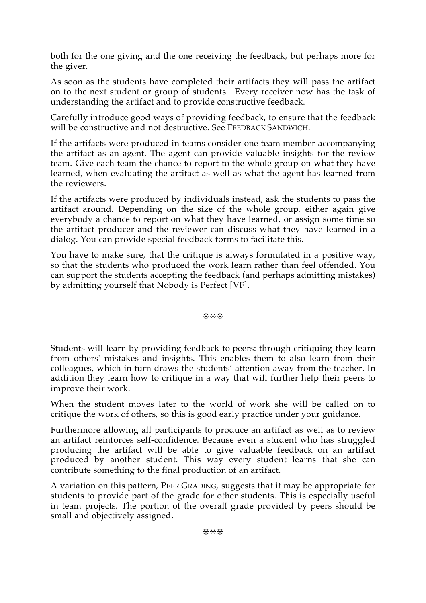both for the one giving and the one receiving the feedback, but perhaps more for the giver.

As soon as the students have completed their artifacts they will pass the artifact on to the next student or group of students. Every receiver now has the task of understanding the artifact and to provide constructive feedback.

Carefully introduce good ways of providing feedback, to ensure that the feedback will be constructive and not destructive. See FEEDBACK SANDWICH.

If the artifacts were produced in teams consider one team member accompanying the artifact as an agent. The agent can provide valuable insights for the review team. Give each team the chance to report to the whole group on what they have learned, when evaluating the artifact as well as what the agent has learned from the reviewers.

If the artifacts were produced by individuals instead, ask the students to pass the artifact around. Depending on the size of the whole group, either again give everybody a chance to report on what they have learned, or assign some time so the artifact producer and the reviewer can discuss what they have learned in a dialog. You can provide special feedback forms to facilitate this.

You have to make sure, that the critique is always formulated in a positive way, so that the students who produced the work learn rather than feel offended. You can support the students accepting the feedback (and perhaps admitting mistakes) by admitting yourself that Nobody is Perfect [VF].

#### ❊❊❊

Students will learn by providing feedback to peers: through critiquing they learn from others' mistakes and insights. This enables them to also learn from their colleagues, which in turn draws the students' attention away from the teacher. In addition they learn how to critique in a way that will further help their peers to improve their work.

When the student moves later to the world of work she will be called on to critique the work of others, so this is good early practice under your guidance.

Furthermore allowing all participants to produce an artifact as well as to review an artifact reinforces self-confidence. Because even a student who has struggled producing the artifact will be able to give valuable feedback on an artifact produced by another student. This way every student learns that she can contribute something to the final production of an artifact.

A variation on this pattern, PEER GRADING, suggests that it may be appropriate for students to provide part of the grade for other students. This is especially useful in team projects. The portion of the overall grade provided by peers should be small and objectively assigned.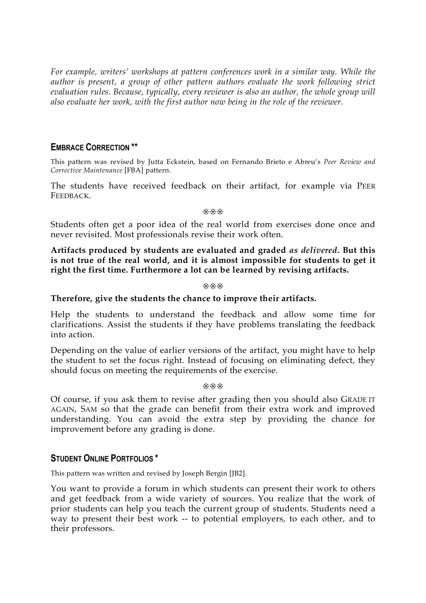*For example, writers' workshops at pattern conferences work in a similar way. While the author is present, a group of other pattern authors evaluate the work following strict evaluation rules. Because, typically, every reviewer is also an author, the whole group will also evaluate her work, with the first author now being in the role of the reviewer.*

## **EMBRACE CORRECTION \*\***

This pattern was revised by Jutta Eckstein, based on Fernando Brieto e Abreu's *Peer Review and Corrective Maintenance* [FBA] pattern.

The students have received feedback on their artifact, for example via PEER FEEDBACK.

❊❊❊

Students often get a poor idea of the real world from exercises done once and never revisited. Most professionals revise their work often.

**Artifacts produced by students are evaluated and graded** *as delivered***. But this is not true of the real world, and it is almost impossible for students to get it right the first time. Furthermore a lot can be learned by revising artifacts.**

❊❊❊

### **Therefore, give the students the chance to improve their artifacts.**

Help the students to understand the feedback and allow some time for clarifications. Assist the students if they have problems translating the feedback into action.

Depending on the value of earlier versions of the artifact, you might have to help the student to set the focus right. Instead of focusing on eliminating defect, they should focus on meeting the requirements of the exercise.

❊❊❊

Of course, if you ask them to revise after grading then you should also GRADE IT AGAIN, SAM so that the grade can benefit from their extra work and improved understanding. You can avoid the extra step by providing the chance for improvement before any grading is done.

## **STUDENT ONLINE PORTFOLIOS \***

This pattern was written and revised by Joseph Bergin [JB2].

You want to provide a forum in which students can present their work to others and get feedback from a wide variety of sources. You realize that the work of prior students can help you teach the current group of students. Students need a way to present their best work -- to potential employers, to each other, and to their professors.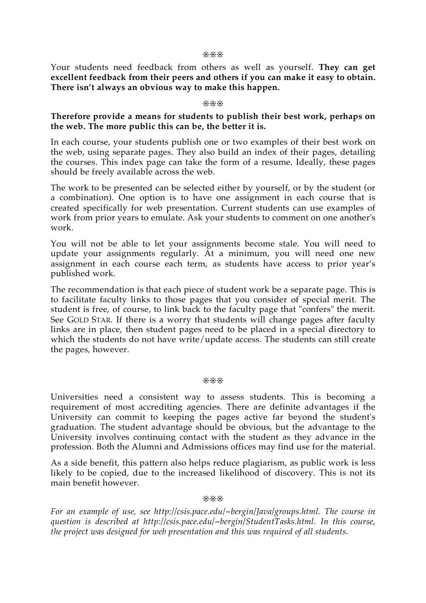#### ❊❊❊

Your students need feedback from others as well as yourself. **They can get excellent feedback from their peers and others if you can make it easy to obtain. There isn't always an obvious way to make this happen.**

#### ❊❊❊

#### **Therefore provide a means for students to publish their best work, perhaps on the web. The more public this can be, the better it is.**

In each course, your students publish one or two examples of their best work on the web, using separate pages. They also build an index of their pages, detailing the courses. This index page can take the form of a resume. Ideally, these pages should be freely available across the web.

The work to be presented can be selected either by yourself, or by the student (or a combination). One option is to have one assignment in each course that is created specifically for web presentation. Current students can use examples of work from prior years to emulate. Ask your students to comment on one another's work.

You will not be able to let your assignments become stale. You will need to update your assignments regularly. At a minimum, you will need one new assignment in each course each term, as students have access to prior year's published work.

The recommendation is that each piece of student work be a separate page. This is to facilitate faculty links to those pages that you consider of special merit. The student is free, of course, to link back to the faculty page that "confers" the merit. See GOLD STAR. If there is a worry that students will change pages after faculty links are in place, then student pages need to be placed in a special directory to which the students do not have write/update access. The students can still create the pages, however.

❊❊❊

Universities need a consistent way to assess students. This is becoming a requirement of most accrediting agencies. There are definite advantages if the University can commit to keeping the pages active far beyond the student's graduation. The student advantage should be obvious, but the advantage to the University involves continuing contact with the student as they advance in the profession. Both the Alumni and Admissions offices may find use for the material.

As a side benefit, this pattern also helps reduce plagiarism, as public work is less likely to be copied, due to the increased likelihood of discovery. This is not its main benefit however.

❊❊❊

*For an example of use, see http://csis.pace.edu/~bergin/Java/groups.html. The course in question is described at http://csis.pace.edu/~bergin/StudentTasks.html. In this course, the project was designed for web presentation and this was required of all students.*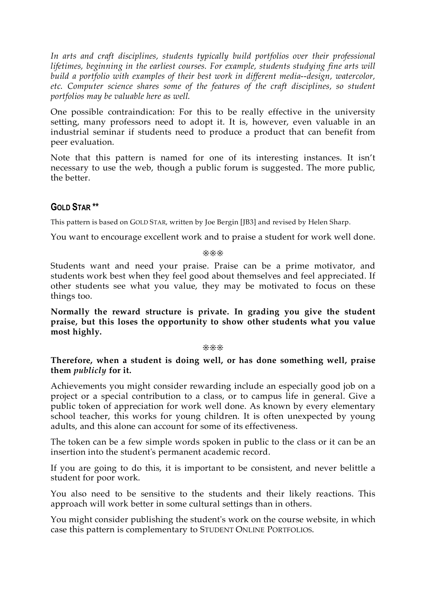*In arts and craft disciplines, students typically build portfolios over their professional lifetimes, beginning in the earliest courses. For example, students studying fine arts will build a portfolio with examples of their best work in different media--design, watercolor, etc. Computer science shares some of the features of the craft disciplines, so student portfolios may be valuable here as well.*

One possible contraindication: For this to be really effective in the university setting, many professors need to adopt it. It is, however, even valuable in an industrial seminar if students need to produce a product that can benefit from peer evaluation.

Note that this pattern is named for one of its interesting instances. It isn't necessary to use the web, though a public forum is suggested. The more public, the better.

## **GOLD STAR \*\***

This pattern is based on GOLD STAR, written by Joe Bergin [JB3] and revised by Helen Sharp.

You want to encourage excellent work and to praise a student for work well done.

❊❊❊

Students want and need your praise. Praise can be a prime motivator, and students work best when they feel good about themselves and feel appreciated. If other students see what you value, they may be motivated to focus on these things too.

**Normally the reward structure is private. In grading you give the student praise, but this loses the opportunity to show other students what you value most highly.**

#### ❊❊❊

#### **Therefore, when a student is doing well, or has done something well, praise them** *publicly* **for it.**

Achievements you might consider rewarding include an especially good job on a project or a special contribution to a class, or to campus life in general. Give a public token of appreciation for work well done. As known by every elementary school teacher, this works for young children. It is often unexpected by young adults, and this alone can account for some of its effectiveness.

The token can be a few simple words spoken in public to the class or it can be an insertion into the student's permanent academic record.

If you are going to do this, it is important to be consistent, and never belittle a student for poor work.

You also need to be sensitive to the students and their likely reactions. This approach will work better in some cultural settings than in others.

You might consider publishing the student's work on the course website, in which case this pattern is complementary to STUDENT ONLINE PORTFOLIOS.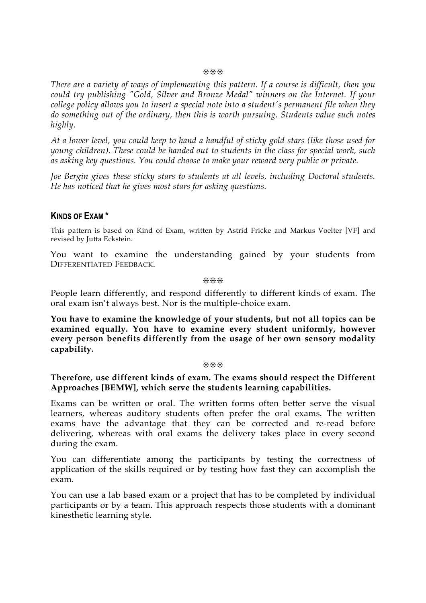#### ❊❊❊

*There are a variety of ways of implementing this pattern. If a course is difficult, then you could try publishing "Gold, Silver and Bronze Medal" winners on the Internet. If your college policy allows you to insert a special note into a student's permanent file when they do something out of the ordinary, then this is worth pursuing. Students value such notes highly.*

At a lower level, you could keep to hand a handful of sticky gold stars (like those used for *young children). These could be handed out to students in the class for special work, such as asking key questions. You could choose to make your reward very public or private.*

*Joe Bergin gives these sticky stars to students at all levels, including Doctoral students. He has noticed that he gives most stars for asking questions.*

#### **KINDS OF EXAM \***

This pattern is based on Kind of Exam, written by Astrid Fricke and Markus Voelter [VF] and revised by Jutta Eckstein.

You want to examine the understanding gained by your students from DIFFERENTIATED FEEDBACK.

❊❊❊

People learn differently, and respond differently to different kinds of exam. The oral exam isn't always best. Nor is the multiple-choice exam.

**You have to examine the knowledge of your students, but not all topics can be examined equally. You have to examine every student uniformly, however every person benefits differently from the usage of her own sensory modality capability.**

#### ❊❊❊

#### **Therefore, use different kinds of exam. The exams should respect the Different Approaches [BEMW], which serve the students learning capabilities.**

Exams can be written or oral. The written forms often better serve the visual learners, whereas auditory students often prefer the oral exams. The written exams have the advantage that they can be corrected and re-read before delivering, whereas with oral exams the delivery takes place in every second during the exam.

You can differentiate among the participants by testing the correctness of application of the skills required or by testing how fast they can accomplish the exam.

You can use a lab based exam or a project that has to be completed by individual participants or by a team. This approach respects those students with a dominant kinesthetic learning style.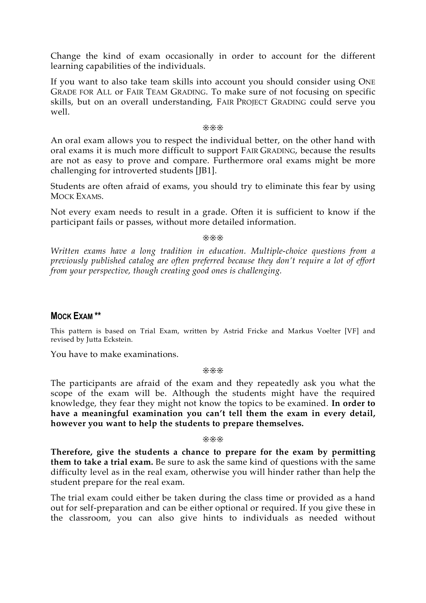Change the kind of exam occasionally in order to account for the different learning capabilities of the individuals.

If you want to also take team skills into account you should consider using ONE GRADE FOR ALL or FAIR TEAM GRADING. To make sure of not focusing on specific skills, but on an overall understanding, FAIR PROJECT GRADING could serve you well.

#### ❊❊❊

An oral exam allows you to respect the individual better, on the other hand with oral exams it is much more difficult to support FAIR GRADING, because the results are not as easy to prove and compare. Furthermore oral exams might be more challenging for introverted students [JB1].

Students are often afraid of exams, you should try to eliminate this fear by using MOCK EXAMS.

Not every exam needs to result in a grade. Often it is sufficient to know if the participant fails or passes, without more detailed information.

❊❊❊

*Written exams have a long tradition in education. Multiple-choice questions from a previously published catalog are often preferred because they don't require a lot of effort from your perspective, though creating good ones is challenging.*

## **MOCK EXAM \*\***

This pattern is based on Trial Exam, written by Astrid Fricke and Markus Voelter [VF] and revised by Jutta Eckstein.

You have to make examinations.

❊❊❊

The participants are afraid of the exam and they repeatedly ask you what the scope of the exam will be. Although the students might have the required knowledge, they fear they might not know the topics to be examined. **In order to have a meaningful examination you can't tell them the exam in every detail, however you want to help the students to prepare themselves.**

❊❊❊

**Therefore, give the students a chance to prepare for the exam by permitting them to take a trial exam.** Be sure to ask the same kind of questions with the same difficulty level as in the real exam, otherwise you will hinder rather than help the student prepare for the real exam.

The trial exam could either be taken during the class time or provided as a hand out for self-preparation and can be either optional or required. If you give these in the classroom, you can also give hints to individuals as needed without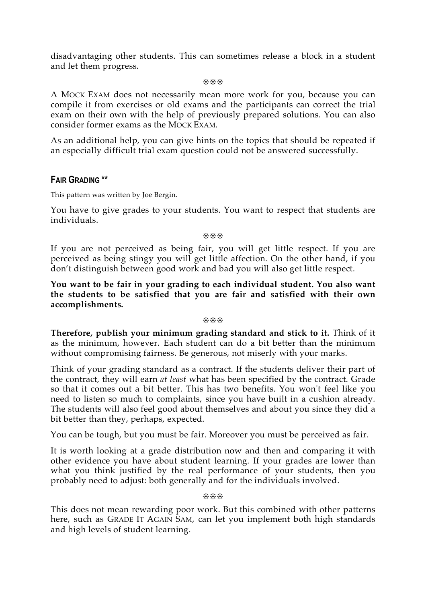disadvantaging other students. This can sometimes release a block in a student and let them progress.

❊❊❊

A MOCK EXAM does not necessarily mean more work for you, because you can compile it from exercises or old exams and the participants can correct the trial exam on their own with the help of previously prepared solutions. You can also consider former exams as the MOCK EXAM.

As an additional help, you can give hints on the topics that should be repeated if an especially difficult trial exam question could not be answered successfully.

## **FAIR GRADING \*\***

This pattern was written by Joe Bergin.

You have to give grades to your students. You want to respect that students are individuals.

❊❊❊

If you are not perceived as being fair, you will get little respect. If you are perceived as being stingy you will get little affection. On the other hand, if you don't distinguish between good work and bad you will also get little respect.

**You want to be fair in your grading to each individual student. You also want the students to be satisfied that you are fair and satisfied with their own accomplishments.**

❊❊❊

**Therefore, publish your minimum grading standard and stick to it.** Think of it as the minimum, however. Each student can do a bit better than the minimum without compromising fairness. Be generous, not miserly with your marks.

Think of your grading standard as a contract. If the students deliver their part of the contract, they will earn *at least* what has been specified by the contract. Grade so that it comes out a bit better. This has two benefits. You won't feel like you need to listen so much to complaints, since you have built in a cushion already. The students will also feel good about themselves and about you since they did a bit better than they, perhaps, expected.

You can be tough, but you must be fair. Moreover you must be perceived as fair.

It is worth looking at a grade distribution now and then and comparing it with other evidence you have about student learning. If your grades are lower than what you think justified by the real performance of your students, then you probably need to adjust: both generally and for the individuals involved.

❊❊❊

This does not mean rewarding poor work. But this combined with other patterns here, such as GRADE IT AGAIN SAM, can let you implement both high standards and high levels of student learning.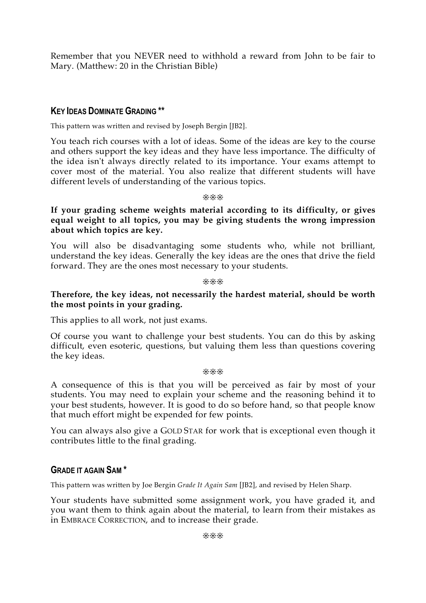Remember that you NEVER need to withhold a reward from John to be fair to Mary. (Matthew: 20 in the Christian Bible)

## **KEY IDEAS DOMINATE GRADING \*\***

This pattern was written and revised by Joseph Bergin [JB2].

You teach rich courses with a lot of ideas. Some of the ideas are key to the course and others support the key ideas and they have less importance. The difficulty of the idea isn't always directly related to its importance. Your exams attempt to cover most of the material. You also realize that different students will have different levels of understanding of the various topics.

❊❊❊

**If your grading scheme weights material according to its difficulty, or gives equal weight to all topics, you may be giving students the wrong impression about which topics are key.**

You will also be disadvantaging some students who, while not brilliant, understand the key ideas. Generally the key ideas are the ones that drive the field forward. They are the ones most necessary to your students.

❊❊❊

## **Therefore, the key ideas, not necessarily the hardest material, should be worth the most points in your grading.**

This applies to all work, not just exams.

Of course you want to challenge your best students. You can do this by asking difficult, even esoteric, questions, but valuing them less than questions covering the key ideas.

#### ❊❊❊

A consequence of this is that you will be perceived as fair by most of your students. You may need to explain your scheme and the reasoning behind it to your best students, however. It is good to do so before hand, so that people know that much effort might be expended for few points.

You can always also give a GOLD STAR for work that is exceptional even though it contributes little to the final grading.

## **GRADE IT AGAIN SAM \***

This pattern was written by Joe Bergin *Grade It Again Sam* [JB2], and revised by Helen Sharp.

Your students have submitted some assignment work, you have graded it, and you want them to think again about the material, to learn from their mistakes as in EMBRACE CORRECTION, and to increase their grade.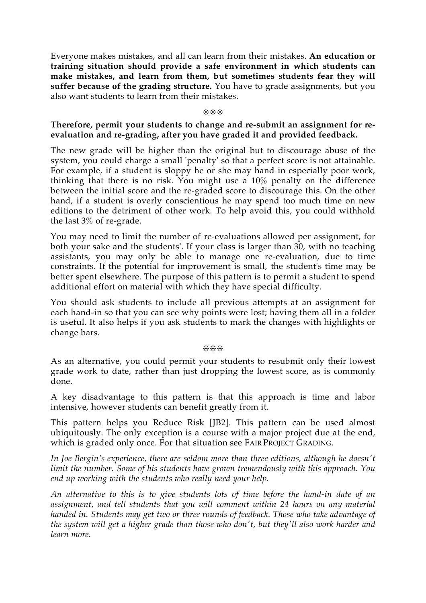Everyone makes mistakes, and all can learn from their mistakes. **An education or training situation should provide a safe environment in which students can make mistakes, and learn from them, but sometimes students fear they will suffer because of the grading structure.** You have to grade assignments, but you also want students to learn from their mistakes.

#### ❊❊❊

#### **Therefore, permit your students to change and re-submit an assignment for reevaluation and re-grading, after you have graded it and provided feedback.**

The new grade will be higher than the original but to discourage abuse of the system, you could charge a small 'penalty' so that a perfect score is not attainable. For example, if a student is sloppy he or she may hand in especially poor work, thinking that there is no risk. You might use a 10% penalty on the difference between the initial score and the re-graded score to discourage this. On the other hand, if a student is overly conscientious he may spend too much time on new editions to the detriment of other work. To help avoid this, you could withhold the last 3% of re-grade.

You may need to limit the number of re-evaluations allowed per assignment, for both your sake and the students'. If your class is larger than 30, with no teaching assistants, you may only be able to manage one re-evaluation, due to time constraints. If the potential for improvement is small, the student's time may be better spent elsewhere. The purpose of this pattern is to permit a student to spend additional effort on material with which they have special difficulty.

You should ask students to include all previous attempts at an assignment for each hand-in so that you can see why points were lost; having them all in a folder is useful. It also helps if you ask students to mark the changes with highlights or change bars.

#### ❊❊❊

As an alternative, you could permit your students to resubmit only their lowest grade work to date, rather than just dropping the lowest score, as is commonly done.

A key disadvantage to this pattern is that this approach is time and labor intensive, however students can benefit greatly from it.

This pattern helps you Reduce Risk [JB2]. This pattern can be used almost ubiquitously. The only exception is a course with a major project due at the end, which is graded only once. For that situation see FAIR PROJECT GRADING.

*In Joe Bergin's experience, there are seldom more than three editions, although he doesn't limit the number. Some of his students have grown tremendously with this approach. You end up working with the students who really need your help.*

*An alternative to this is to give students lots of time before the hand-in date of an assignment, and tell students that you will comment within 24 hours on any material handed in. Students may get two or three rounds of feedback. Those who take advantage of the system will get a higher grade than those who don't, but they'll also work harder and learn more.*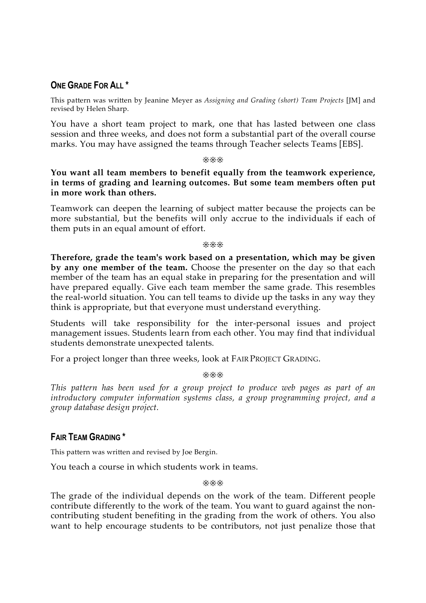## **ONE GRADE FOR ALL \***

This pattern was written by Jeanine Meyer as *Assigning and Grading (short) Team Projects* [JM] and revised by Helen Sharp.

You have a short team project to mark, one that has lasted between one class session and three weeks, and does not form a substantial part of the overall course marks. You may have assigned the teams through Teacher selects Teams [EBS].

#### ❊❊❊

#### **You want all team members to benefit equally from the teamwork experience, in terms of grading and learning outcomes. But some team members often put in more work than others.**

Teamwork can deepen the learning of subject matter because the projects can be more substantial, but the benefits will only accrue to the individuals if each of them puts in an equal amount of effort.

❊❊❊

**Therefore, grade the team's work based on a presentation, which may be given by any one member of the team.** Choose the presenter on the day so that each member of the team has an equal stake in preparing for the presentation and will have prepared equally. Give each team member the same grade. This resembles the real-world situation. You can tell teams to divide up the tasks in any way they think is appropriate, but that everyone must understand everything.

Students will take responsibility for the inter-personal issues and project management issues. Students learn from each other. You may find that individual students demonstrate unexpected talents.

For a project longer than three weeks, look at FAIR PROJECT GRADING.

#### ❊❊❊

*This pattern has been used for a group project to produce web pages as part of an introductory computer information systems class, a group programming project, and a group database design project.*

## **FAIR TEAM GRADING \***

This pattern was written and revised by Joe Bergin.

You teach a course in which students work in teams.

❊❊❊

The grade of the individual depends on the work of the team. Different people contribute differently to the work of the team. You want to guard against the noncontributing student benefiting in the grading from the work of others. You also want to help encourage students to be contributors, not just penalize those that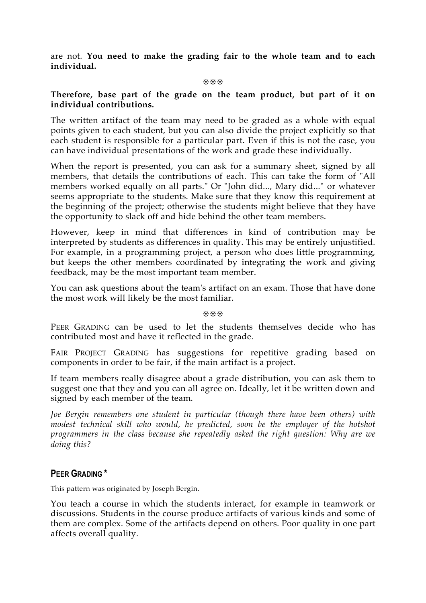are not. **You need to make the grading fair to the whole team and to each individual.**

❊❊❊

### **Therefore, base part of the grade on the team product, but part of it on individual contributions.**

The written artifact of the team may need to be graded as a whole with equal points given to each student, but you can also divide the project explicitly so that each student is responsible for a particular part. Even if this is not the case, you can have individual presentations of the work and grade these individually.

When the report is presented, you can ask for a summary sheet, signed by all members, that details the contributions of each. This can take the form of "All members worked equally on all parts." Or "John did..., Mary did..." or whatever seems appropriate to the students. Make sure that they know this requirement at the beginning of the project; otherwise the students might believe that they have the opportunity to slack off and hide behind the other team members.

However, keep in mind that differences in kind of contribution may be interpreted by students as differences in quality. This may be entirely unjustified. For example, in a programming project, a person who does little programming, but keeps the other members coordinated by integrating the work and giving feedback, may be the most important team member.

You can ask questions about the team's artifact on an exam. Those that have done the most work will likely be the most familiar.

❊❊❊

PEER GRADING can be used to let the students themselves decide who has contributed most and have it reflected in the grade.

FAIR PROJECT GRADING has suggestions for repetitive grading based on components in order to be fair, if the main artifact is a project.

If team members really disagree about a grade distribution, you can ask them to suggest one that they and you can all agree on. Ideally, let it be written down and signed by each member of the team.

*Joe Bergin remembers one student in particular (though there have been others) with modest technical skill who would, he predicted, soon be the employer of the hotshot programmers in the class because she repeatedly asked the right question: Why are we doing this?*

## **PEER GRADING \***

This pattern was originated by Joseph Bergin.

You teach a course in which the students interact, for example in teamwork or discussions. Students in the course produce artifacts of various kinds and some of them are complex. Some of the artifacts depend on others. Poor quality in one part affects overall quality.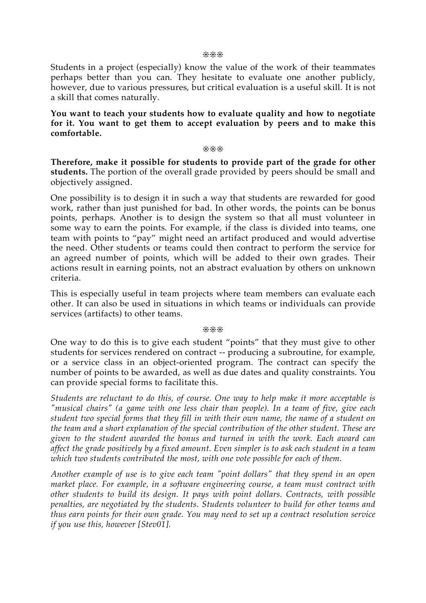❊❊❊

Students in a project (especially) know the value of the work of their teammates perhaps better than you can. They hesitate to evaluate one another publicly, however, due to various pressures, but critical evaluation is a useful skill. It is not a skill that comes naturally.

**You want to teach your students how to evaluate quality and how to negotiate for it. You want to get them to accept evaluation by peers and to make this comfortable.**

#### ❊❊❊

**Therefore, make it possible for students to provide part of the grade for other students.** The portion of the overall grade provided by peers should be small and objectively assigned.

One possibility is to design it in such a way that students are rewarded for good work, rather than just punished for bad. In other words, the points can be bonus points, perhaps. Another is to design the system so that all must volunteer in some way to earn the points. For example, if the class is divided into teams, one team with points to "pay" might need an artifact produced and would advertise the need. Other students or teams could then contract to perform the service for an agreed number of points, which will be added to their own grades. Their actions result in earning points, not an abstract evaluation by others on unknown criteria.

This is especially useful in team projects where team members can evaluate each other. It can also be used in situations in which teams or individuals can provide services (artifacts) to other teams.

#### ❊❊❊

One way to do this is to give each student "points" that they must give to other students for services rendered on contract -- producing a subroutine, for example, or a service class in an object-oriented program. The contract can specify the number of points to be awarded, as well as due dates and quality constraints. You can provide special forms to facilitate this.

*Students are reluctant to do this, of course. One way to help make it more acceptable is "musical chairs" (a game with one less chair than people). In a team of five, give each student two special forms that they fill in with their own name, the name of a student on the team and a short explanation of the special contribution of the other student. These are given to the student awarded the bonus and turned in with the work. Each award can affect the grade positively by a fixed amount. Even simpler is to ask each student in a team which two students contributed the most, with one vote possible for each of them.*

*Another example of use is to give each team "point dollars" that they spend in an open market place. For example, in a software engineering course, a team must contract with other students to build its design. It pays with point dollars. Contracts, with possible penalties, are negotiated by the students. Students volunteer to build for other teams and thus earn points for their own grade. You may need to set up a contract resolution service if you use this, however [Stev01].*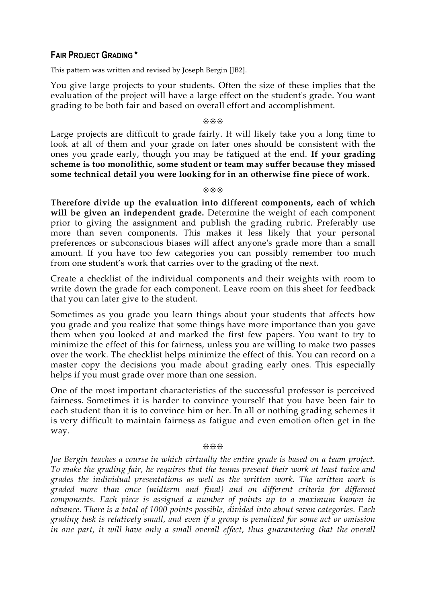## **FAIR PROJECT GRADING \***

This pattern was written and revised by Joseph Bergin [JB2].

You give large projects to your students. Often the size of these implies that the evaluation of the project will have a large effect on the student's grade. You want grading to be both fair and based on overall effort and accomplishment.

#### ❊❊❊

Large projects are difficult to grade fairly. It will likely take you a long time to look at all of them and your grade on later ones should be consistent with the ones you grade early, though you may be fatigued at the end. **If your grading scheme is too monolithic, some student or team may suffer because they missed some technical detail you were looking for in an otherwise fine piece of work.**

#### ❊❊❊

**Therefore divide up the evaluation into different components, each of which will be given an independent grade.** Determine the weight of each component prior to giving the assignment and publish the grading rubric. Preferably use more than seven components. This makes it less likely that your personal preferences or subconscious biases will affect anyone's grade more than a small amount. If you have too few categories you can possibly remember too much from one student's work that carries over to the grading of the next.

Create a checklist of the individual components and their weights with room to write down the grade for each component. Leave room on this sheet for feedback that you can later give to the student.

Sometimes as you grade you learn things about your students that affects how you grade and you realize that some things have more importance than you gave them when you looked at and marked the first few papers. You want to try to minimize the effect of this for fairness, unless you are willing to make two passes over the work. The checklist helps minimize the effect of this. You can record on a master copy the decisions you made about grading early ones. This especially helps if you must grade over more than one session.

One of the most important characteristics of the successful professor is perceived fairness. Sometimes it is harder to convince yourself that you have been fair to each student than it is to convince him or her. In all or nothing grading schemes it is very difficult to maintain fairness as fatigue and even emotion often get in the way.

❊❊❊

*Joe Bergin teaches a course in which virtually the entire grade is based on a team project. To make the grading fair, he requires that the teams present their work at least twice and grades the individual presentations as well as the written work. The written work is graded more than once (midterm and final) and on different criteria for different components. Each piece is assigned a number of points up to a maximum known in advance. There is a total of 1000 points possible, divided into about seven categories. Each grading task is relatively small, and even if a group is penalized for some act or omission in one part, it will have only a small overall effect, thus guaranteeing that the overall*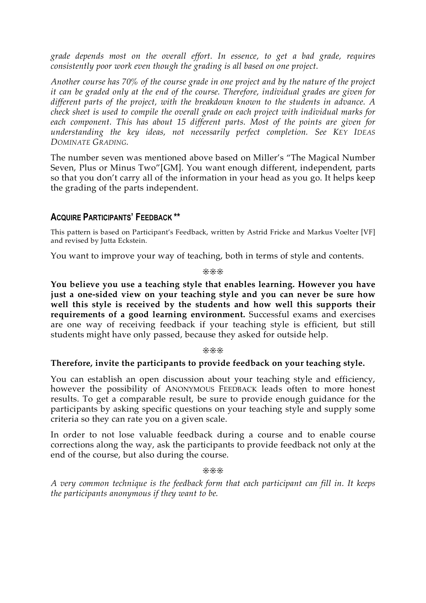*grade depends most on the overall effort. In essence, to get a bad grade, requires consistently poor work even though the grading is all based on one project.*

*Another course has 70% of the course grade in one project and by the nature of the project it can be graded only at the end of the course. Therefore, individual grades are given for different parts of the project, with the breakdown known to the students in advance. A check sheet is used to compile the overall grade on each project with individual marks for each component. This has about 15 different parts. Most of the points are given for understanding the key ideas, not necessarily perfect completion. See KEY IDEAS DOMINATE GRADING.*

The number seven was mentioned above based on Miller's "The Magical Number Seven, Plus or Minus Two"[GM]. You want enough different, independent, parts so that you don't carry all of the information in your head as you go. It helps keep the grading of the parts independent.

## **ACQUIRE PARTICIPANTS' FEEDBACK \*\***

This pattern is based on Participant's Feedback, written by Astrid Fricke and Markus Voelter [VF] and revised by Jutta Eckstein.

You want to improve your way of teaching, both in terms of style and contents.

❊❊❊

**You believe you use a teaching style that enables learning. However you have just a one-sided view on your teaching style and you can never be sure how well this style is received by the students and how well this supports their requirements of a good learning environment.** Successful exams and exercises are one way of receiving feedback if your teaching style is efficient, but still students might have only passed, because they asked for outside help.

❊❊❊

## **Therefore, invite the participants to provide feedback on your teaching style.**

You can establish an open discussion about your teaching style and efficiency, however the possibility of ANONYMOUS FEEDBACK leads often to more honest results. To get a comparable result, be sure to provide enough guidance for the participants by asking specific questions on your teaching style and supply some criteria so they can rate you on a given scale.

In order to not lose valuable feedback during a course and to enable course corrections along the way, ask the participants to provide feedback not only at the end of the course, but also during the course.

❊❊❊

*A very common technique is the feedback form that each participant can fill in. It keeps the participants anonymous if they want to be.*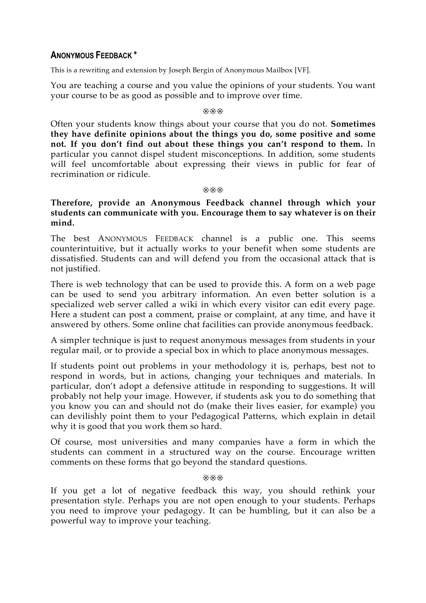## **ANONYMOUS FEEDBACK \***

This is a rewriting and extension by Joseph Bergin of Anonymous Mailbox [VF].

You are teaching a course and you value the opinions of your students. You want your course to be as good as possible and to improve over time.

#### ❊❊❊

Often your students know things about your course that you do not. **Sometimes they have definite opinions about the things you do, some positive and some not. If you don't find out about these things you can't respond to them.** In particular you cannot dispel student misconceptions. In addition, some students will feel uncomfortable about expressing their views in public for fear of recrimination or ridicule.

#### ❊❊❊

## **Therefore, provide an Anonymous Feedback channel through which your students can communicate with you. Encourage them to say whatever is on their mind.**

The best ANONYMOUS FEEDBACK channel is a public one. This seems counterintuitive, but it actually works to your benefit when some students are dissatisfied. Students can and will defend you from the occasional attack that is not justified.

There is web technology that can be used to provide this. A form on a web page can be used to send you arbitrary information. An even better solution is a specialized web server called a wiki in which every visitor can edit every page. Here a student can post a comment, praise or complaint, at any time, and have it answered by others. Some online chat facilities can provide anonymous feedback.

A simpler technique is just to request anonymous messages from students in your regular mail, or to provide a special box in which to place anonymous messages.

If students point out problems in your methodology it is, perhaps, best not to respond in words, but in actions, changing your techniques and materials. In particular, don't adopt a defensive attitude in responding to suggestions. It will probably not help your image. However, if students ask you to do something that you know you can and should not do (make their lives easier, for example) you can devilishly point them to your Pedagogical Patterns, which explain in detail why it is good that you work them so hard.

Of course, most universities and many companies have a form in which the students can comment in a structured way on the course. Encourage written comments on these forms that go beyond the standard questions.

❊❊❊

If you get a lot of negative feedback this way, you should rethink your presentation style. Perhaps you are not open enough to your students. Perhaps you need to improve your pedagogy. It can be humbling, but it can also be a powerful way to improve your teaching.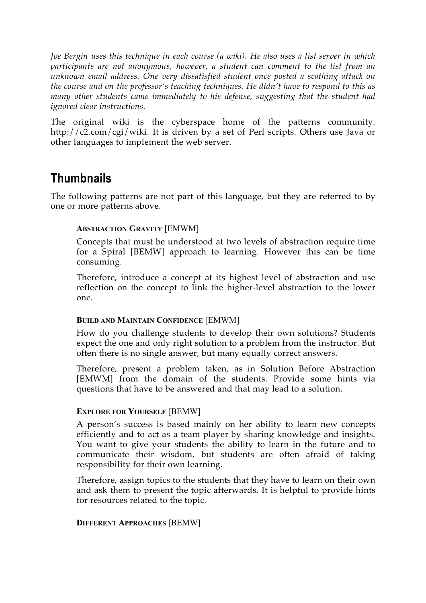*Joe Bergin uses this technique in each course (a wiki). He also uses a list server in which participants are not anonymous, however, a student can comment to the list from an unknown email address. One very dissatisfied student once posted a scathing attack on the course and on the professor's teaching techniques. He didn't have to respond to this as many other students came immediately to his defense, suggesting that the student had ignored clear instructions.*

The original wiki is the cyberspace home of the patterns community. http://c2.com/cgi/wiki. It is driven by a set of Perl scripts. Others use Java or other languages to implement the web server.

## **Thumbnails**

The following patterns are not part of this language, but they are referred to by one or more patterns above.

## **ABSTRACTION GRAVITY** [EMWM]

Concepts that must be understood at two levels of abstraction require time for a Spiral [BEMW] approach to learning. However this can be time consuming.

Therefore, introduce a concept at its highest level of abstraction and use reflection on the concept to link the higher-level abstraction to the lower one.

## **BUILD AND MAINTAIN CONFIDENCE** [EMWM]

How do you challenge students to develop their own solutions? Students expect the one and only right solution to a problem from the instructor. But often there is no single answer, but many equally correct answers.

Therefore, present a problem taken, as in Solution Before Abstraction [EMWM] from the domain of the students. Provide some hints via questions that have to be answered and that may lead to a solution.

## **EXPLORE FOR YOURSELF** [BEMW]

A person's success is based mainly on her ability to learn new concepts efficiently and to act as a team player by sharing knowledge and insights. You want to give your students the ability to learn in the future and to communicate their wisdom, but students are often afraid of taking responsibility for their own learning.

Therefore, assign topics to the students that they have to learn on their own and ask them to present the topic afterwards. It is helpful to provide hints for resources related to the topic.

## **DIFFERENT APPROACHES** [BEMW]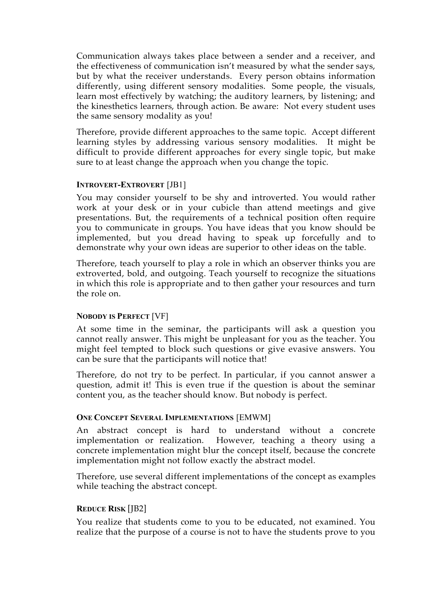Communication always takes place between a sender and a receiver, and the effectiveness of communication isn't measured by what the sender says, but by what the receiver understands. Every person obtains information differently, using different sensory modalities. Some people, the visuals, learn most effectively by watching; the auditory learners, by listening; and the kinesthetics learners, through action. Be aware: Not every student uses the same sensory modality as you!

Therefore, provide different approaches to the same topic. Accept different learning styles by addressing various sensory modalities. It might be difficult to provide different approaches for every single topic, but make sure to at least change the approach when you change the topic.

## **INTROVERT-EXTROVERT** [JB1]

You may consider yourself to be shy and introverted. You would rather work at your desk or in your cubicle than attend meetings and give presentations. But, the requirements of a technical position often require you to communicate in groups. You have ideas that you know should be implemented, but you dread having to speak up forcefully and to demonstrate why your own ideas are superior to other ideas on the table.

Therefore, teach yourself to play a role in which an observer thinks you are extroverted, bold, and outgoing. Teach yourself to recognize the situations in which this role is appropriate and to then gather your resources and turn the role on.

## **NOBODY IS PERFECT** [VF]

At some time in the seminar, the participants will ask a question you cannot really answer. This might be unpleasant for you as the teacher. You might feel tempted to block such questions or give evasive answers. You can be sure that the participants will notice that!

Therefore, do not try to be perfect. In particular, if you cannot answer a question, admit it! This is even true if the question is about the seminar content you, as the teacher should know. But nobody is perfect.

## **ONE CONCEPT SEVERAL IMPLEMENTATIONS** [EMWM]

An abstract concept is hard to understand without a concrete implementation or realization. However, teaching a theory using a concrete implementation might blur the concept itself, because the concrete implementation might not follow exactly the abstract model.

Therefore, use several different implementations of the concept as examples while teaching the abstract concept.

## **REDUCE RISK** [JB2]

You realize that students come to you to be educated, not examined. You realize that the purpose of a course is not to have the students prove to you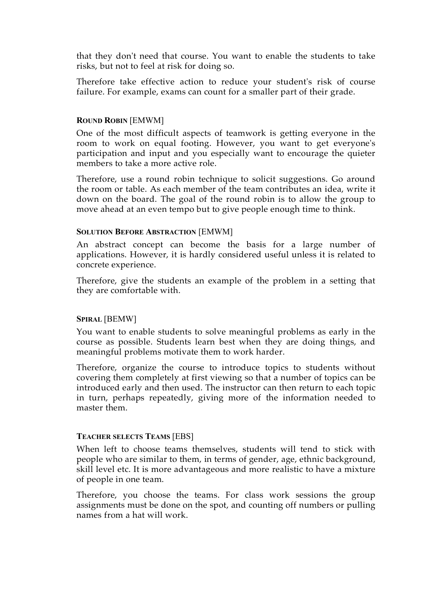that they don't need that course. You want to enable the students to take risks, but not to feel at risk for doing so.

Therefore take effective action to reduce your student's risk of course failure. For example, exams can count for a smaller part of their grade.

### **ROUND ROBIN** [EMWM]

One of the most difficult aspects of teamwork is getting everyone in the room to work on equal footing. However, you want to get everyone's participation and input and you especially want to encourage the quieter members to take a more active role.

Therefore, use a round robin technique to solicit suggestions. Go around the room or table. As each member of the team contributes an idea, write it down on the board. The goal of the round robin is to allow the group to move ahead at an even tempo but to give people enough time to think.

#### **SOLUTION BEFORE ABSTRACTION [EMWM]**

An abstract concept can become the basis for a large number of applications. However, it is hardly considered useful unless it is related to concrete experience.

Therefore, give the students an example of the problem in a setting that they are comfortable with.

## **SPIRAL** [BEMW]

You want to enable students to solve meaningful problems as early in the course as possible. Students learn best when they are doing things, and meaningful problems motivate them to work harder.

Therefore, organize the course to introduce topics to students without covering them completely at first viewing so that a number of topics can be introduced early and then used. The instructor can then return to each topic in turn, perhaps repeatedly, giving more of the information needed to master them.

#### **TEACHER SELECTS TEAMS** [EBS]

When left to choose teams themselves, students will tend to stick with people who are similar to them, in terms of gender, age, ethnic background, skill level etc. It is more advantageous and more realistic to have a mixture of people in one team.

Therefore, you choose the teams. For class work sessions the group assignments must be done on the spot, and counting off numbers or pulling names from a hat will work.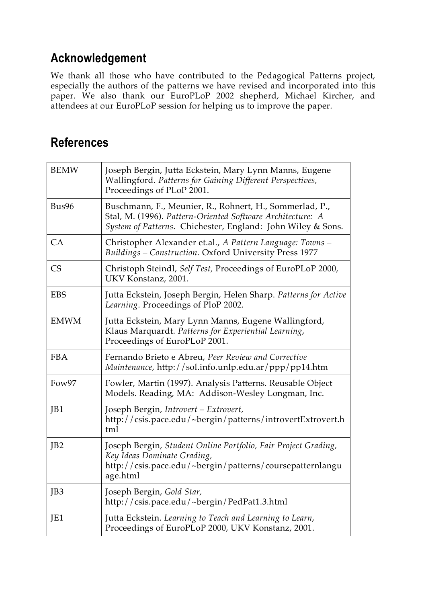## **Acknowledgement**

We thank all those who have contributed to the Pedagogical Patterns project, especially the authors of the patterns we have revised and incorporated into this paper. We also thank our EuroPLoP 2002 shepherd, Michael Kircher, and attendees at our EuroPLoP session for helping us to improve the paper.

## **References**

| <b>BEMW</b>     | Joseph Bergin, Jutta Eckstein, Mary Lynn Manns, Eugene<br>Wallingford. Patterns for Gaining Different Perspectives,<br>Proceedings of PLoP 2001.                                     |
|-----------------|--------------------------------------------------------------------------------------------------------------------------------------------------------------------------------------|
| Bus96           | Buschmann, F., Meunier, R., Rohnert, H., Sommerlad, P.,<br>Stal, M. (1996). Pattern-Oriented Software Architecture: A<br>System of Patterns. Chichester, England: John Wiley & Sons. |
| CA              | Christopher Alexander et.al., A Pattern Language: Towns -<br>Buildings - Construction. Oxford University Press 1977                                                                  |
| <b>CS</b>       | Christoph Steindl, Self Test, Proceedings of EuroPLoP 2000,<br>UKV Konstanz, 2001.                                                                                                   |
| <b>EBS</b>      | Jutta Eckstein, Joseph Bergin, Helen Sharp. Patterns for Active<br>Learning. Proceedings of PloP 2002.                                                                               |
| <b>EMWM</b>     | Jutta Eckstein, Mary Lynn Manns, Eugene Wallingford,<br>Klaus Marquardt. Patterns for Experiential Learning,<br>Proceedings of EuroPLoP 2001.                                        |
| <b>FBA</b>      | Fernando Brieto e Abreu, Peer Review and Corrective<br>Maintenance, http://sol.info.unlp.edu.ar/ppp/pp14.htm                                                                         |
| Fow97           | Fowler, Martin (1997). Analysis Patterns. Reusable Object<br>Models. Reading, MA: Addison-Wesley Longman, Inc.                                                                       |
| JB1             | Joseph Bergin, Introvert – Extrovert,<br>http://csis.pace.edu/~bergin/patterns/introvertExtrovert.h<br>tml                                                                           |
| JB <sub>2</sub> | Joseph Bergin, Student Online Portfolio, Fair Project Grading,<br>Key Ideas Dominate Grading,<br>http://csis.pace.edu/~bergin/patterns/coursepatternlangu<br>age.html                |
| JB <sub>3</sub> | Joseph Bergin, Gold Star,<br>http://csis.pace.edu/~bergin/PedPat1.3.html                                                                                                             |
| JE1             | Jutta Eckstein. Learning to Teach and Learning to Learn,<br>Proceedings of EuroPLoP 2000, UKV Konstanz, 2001.                                                                        |